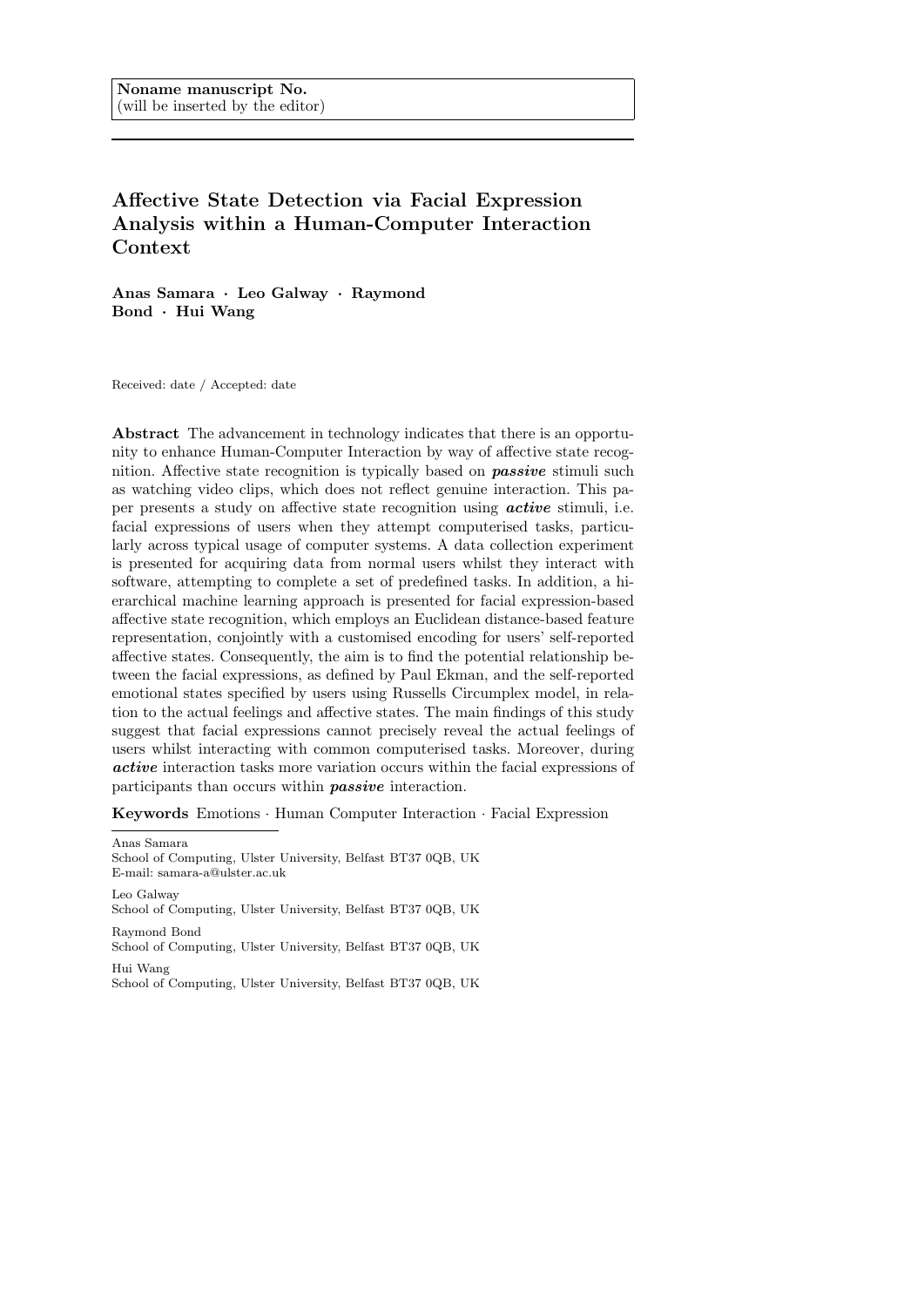# Affective State Detection via Facial Expression Analysis within a Human-Computer Interaction Context

Anas Samara · Leo Galway · Raymond Bond · Hui Wang

Received: date / Accepted: date

Abstract The advancement in technology indicates that there is an opportunity to enhance Human-Computer Interaction by way of affective state recognition. Affective state recognition is typically based on **passive** stimuli such as watching video clips, which does not reflect genuine interaction. This paper presents a study on affective state recognition using active stimuli, i.e. facial expressions of users when they attempt computerised tasks, particularly across typical usage of computer systems. A data collection experiment is presented for acquiring data from normal users whilst they interact with software, attempting to complete a set of predefined tasks. In addition, a hierarchical machine learning approach is presented for facial expression-based affective state recognition, which employs an Euclidean distance-based feature representation, conjointly with a customised encoding for users' self-reported affective states. Consequently, the aim is to find the potential relationship between the facial expressions, as defined by Paul Ekman, and the self-reported emotional states specified by users using Russells Circumplex model, in relation to the actual feelings and affective states. The main findings of this study suggest that facial expressions cannot precisely reveal the actual feelings of users whilst interacting with common computerised tasks. Moreover, during active interaction tasks more variation occurs within the facial expressions of participants than occurs within passive interaction.

Keywords Emotions · Human Computer Interaction · Facial Expression

Anas Samara School of Computing, Ulster University, Belfast BT37 0QB, UK E-mail: samara-a@ulster.ac.uk Leo Galway School of Computing, Ulster University, Belfast BT37 0QB, UK

Raymond Bond School of Computing, Ulster University, Belfast BT37 0QB, UK Hui Wang

School of Computing, Ulster University, Belfast BT37 0QB, UK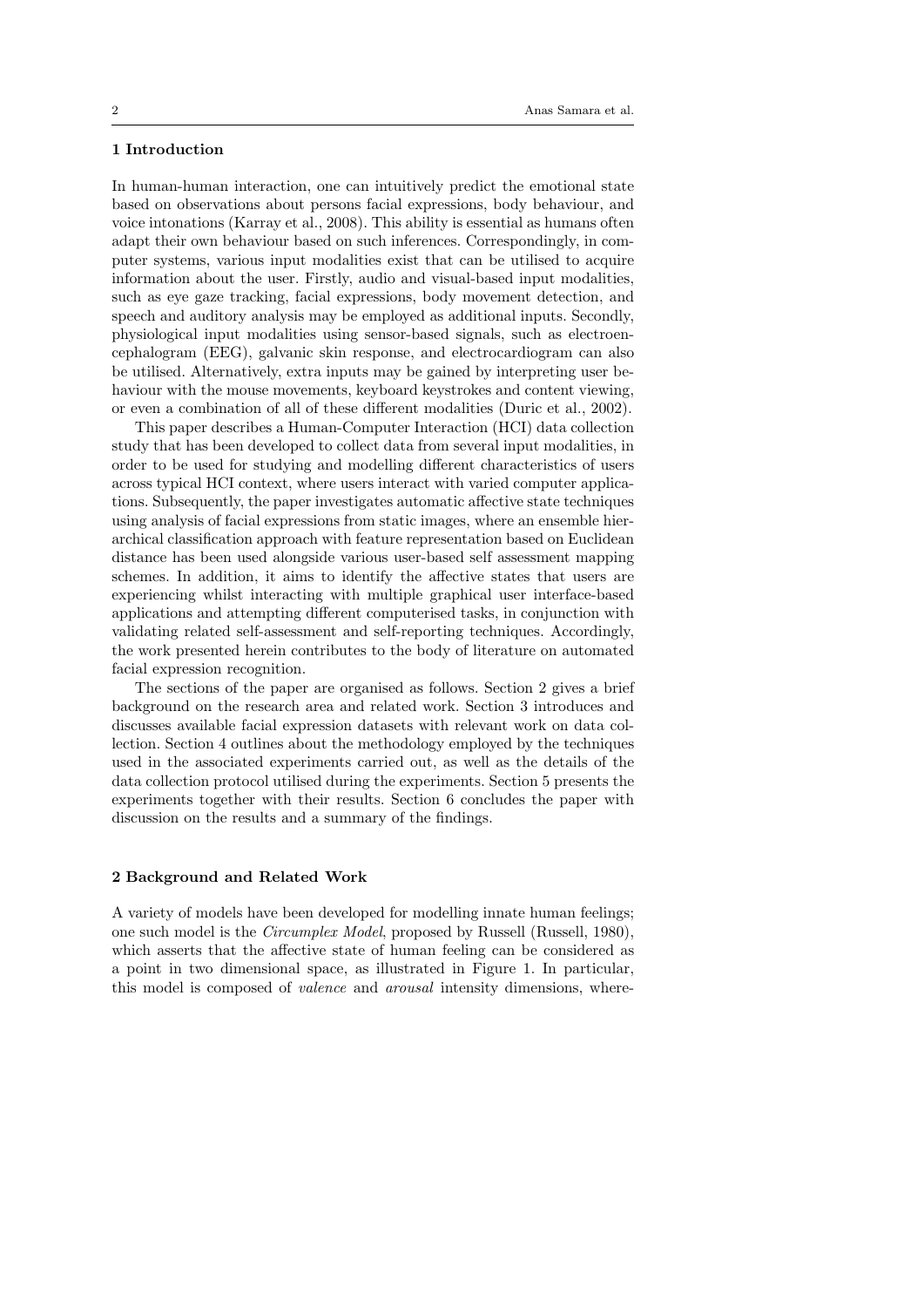# 1 Introduction

In human-human interaction, one can intuitively predict the emotional state based on observations about persons facial expressions, body behaviour, and voice intonations (Karray et al., 2008). This ability is essential as humans often adapt their own behaviour based on such inferences. Correspondingly, in computer systems, various input modalities exist that can be utilised to acquire information about the user. Firstly, audio and visual-based input modalities, such as eye gaze tracking, facial expressions, body movement detection, and speech and auditory analysis may be employed as additional inputs. Secondly, physiological input modalities using sensor-based signals, such as electroencephalogram (EEG), galvanic skin response, and electrocardiogram can also be utilised. Alternatively, extra inputs may be gained by interpreting user behaviour with the mouse movements, keyboard keystrokes and content viewing, or even a combination of all of these different modalities (Duric et al., 2002).

This paper describes a Human-Computer Interaction (HCI) data collection study that has been developed to collect data from several input modalities, in order to be used for studying and modelling different characteristics of users across typical HCI context, where users interact with varied computer applications. Subsequently, the paper investigates automatic affective state techniques using analysis of facial expressions from static images, where an ensemble hierarchical classification approach with feature representation based on Euclidean distance has been used alongside various user-based self assessment mapping schemes. In addition, it aims to identify the affective states that users are experiencing whilst interacting with multiple graphical user interface-based applications and attempting different computerised tasks, in conjunction with validating related self-assessment and self-reporting techniques. Accordingly, the work presented herein contributes to the body of literature on automated facial expression recognition.

The sections of the paper are organised as follows. Section 2 gives a brief background on the research area and related work. Section 3 introduces and discusses available facial expression datasets with relevant work on data collection. Section 4 outlines about the methodology employed by the techniques used in the associated experiments carried out, as well as the details of the data collection protocol utilised during the experiments. Section 5 presents the experiments together with their results. Section 6 concludes the paper with discussion on the results and a summary of the findings.

#### 2 Background and Related Work

A variety of models have been developed for modelling innate human feelings; one such model is the Circumplex Model, proposed by Russell (Russell, 1980), which asserts that the affective state of human feeling can be considered as a point in two dimensional space, as illustrated in Figure 1. In particular, this model is composed of valence and arousal intensity dimensions, where-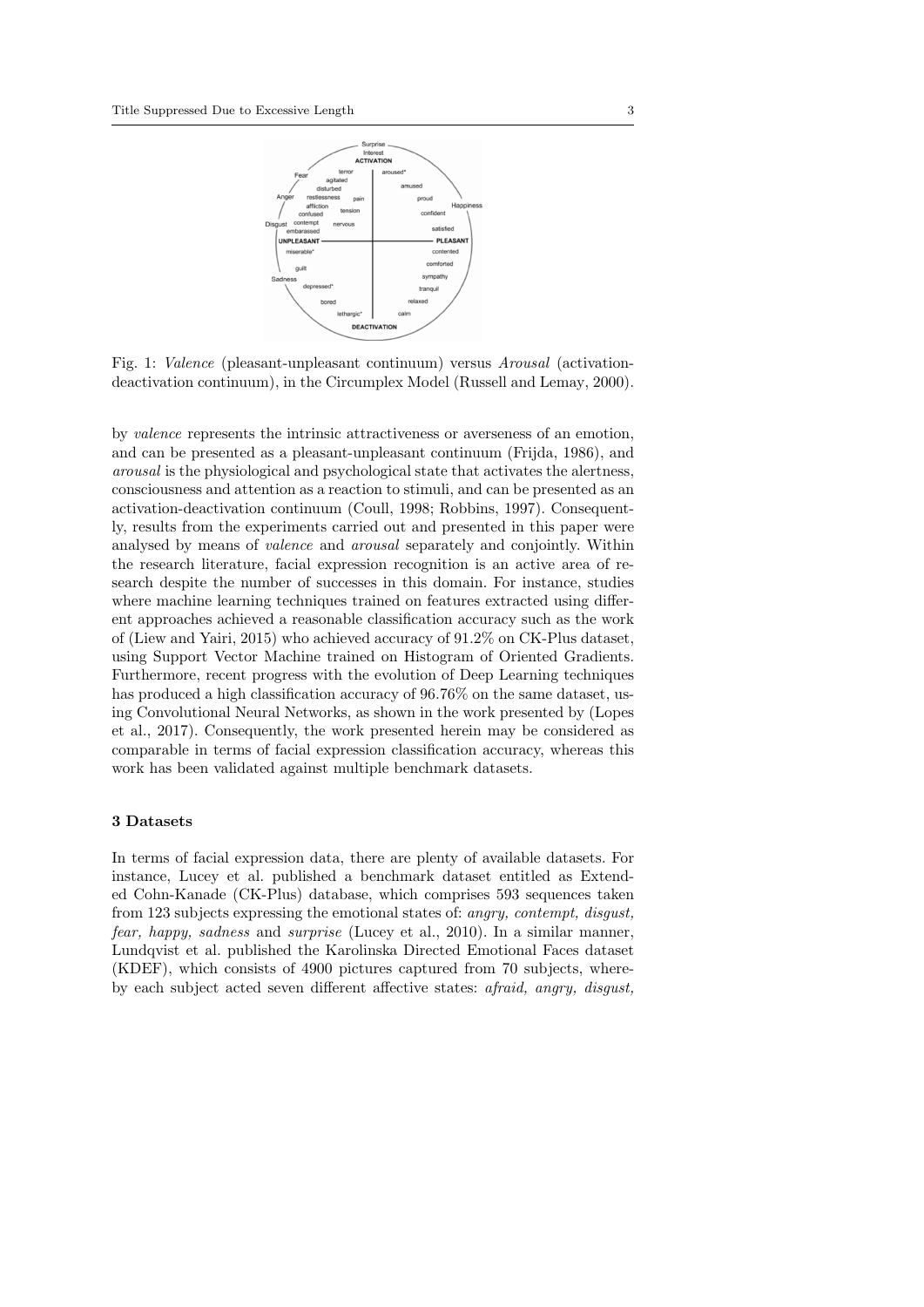

Fig. 1: Valence (pleasant-unpleasant continuum) versus Arousal (activationdeactivation continuum), in the Circumplex Model (Russell and Lemay, 2000).

by valence represents the intrinsic attractiveness or averseness of an emotion, and can be presented as a pleasant-unpleasant continuum (Frijda, 1986), and arousal is the physiological and psychological state that activates the alertness, consciousness and attention as a reaction to stimuli, and can be presented as an activation-deactivation continuum (Coull, 1998; Robbins, 1997). Consequently, results from the experiments carried out and presented in this paper were analysed by means of valence and arousal separately and conjointly. Within the research literature, facial expression recognition is an active area of research despite the number of successes in this domain. For instance, studies where machine learning techniques trained on features extracted using different approaches achieved a reasonable classification accuracy such as the work of (Liew and Yairi, 2015) who achieved accuracy of 91.2% on CK-Plus dataset, using Support Vector Machine trained on Histogram of Oriented Gradients. Furthermore, recent progress with the evolution of Deep Learning techniques has produced a high classification accuracy of  $96.76\%$  on the same dataset, using Convolutional Neural Networks, as shown in the work presented by (Lopes et al., 2017). Consequently, the work presented herein may be considered as comparable in terms of facial expression classification accuracy, whereas this work has been validated against multiple benchmark datasets.

# 3 Datasets

In terms of facial expression data, there are plenty of available datasets. For instance, Lucey et al. published a benchmark dataset entitled as Extended Cohn-Kanade (CK-Plus) database, which comprises 593 sequences taken from 123 subjects expressing the emotional states of: angry, contempt, disgust, fear, happy, sadness and surprise (Lucey et al., 2010). In a similar manner, Lundqvist et al. published the Karolinska Directed Emotional Faces dataset (KDEF), which consists of 4900 pictures captured from 70 subjects, whereby each subject acted seven different affective states: afraid, angry, disgust,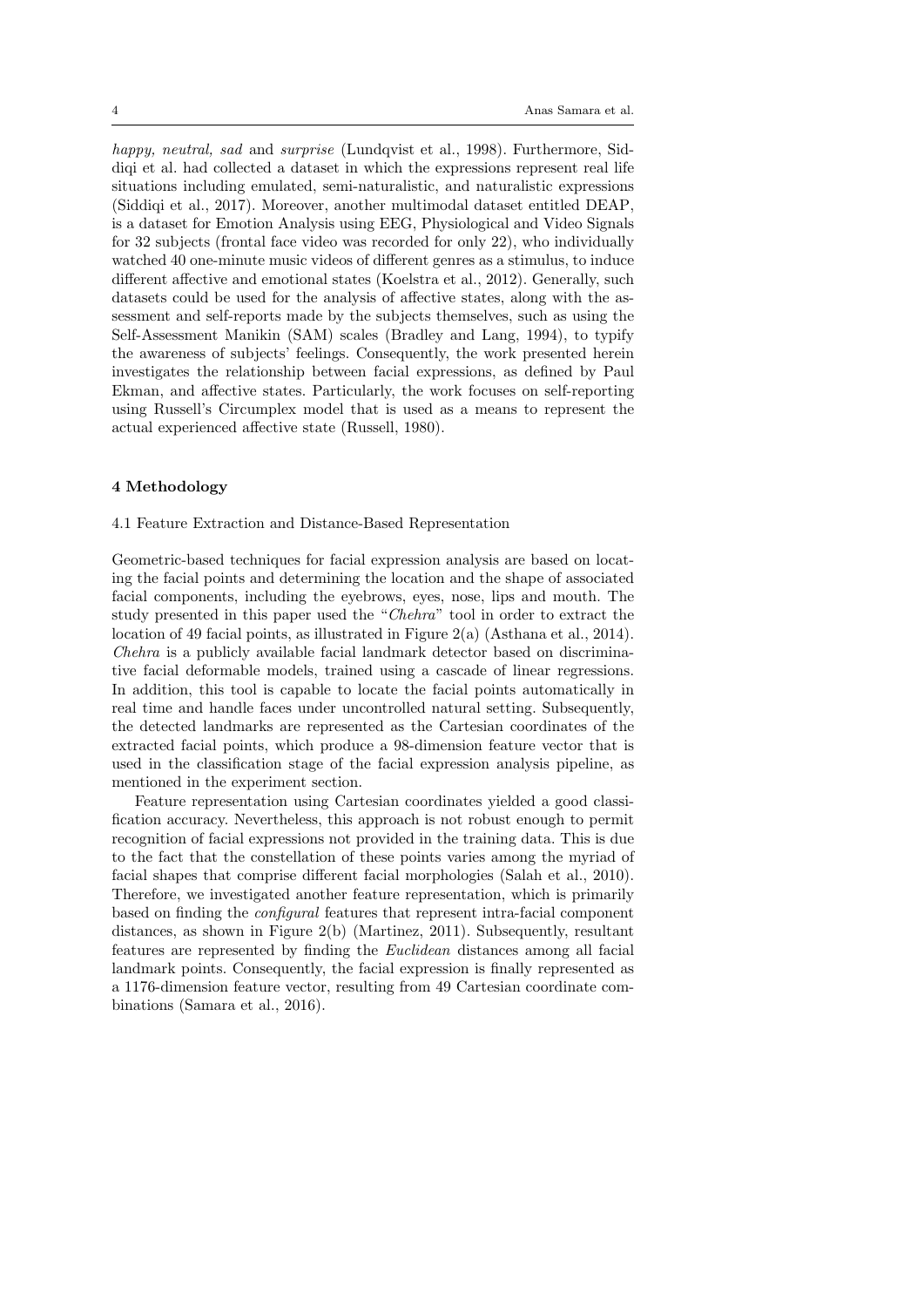happy, neutral, sad and surprise (Lundqvist et al., 1998). Furthermore, Siddiqi et al. had collected a dataset in which the expressions represent real life situations including emulated, semi-naturalistic, and naturalistic expressions (Siddiqi et al., 2017). Moreover, another multimodal dataset entitled DEAP, is a dataset for Emotion Analysis using EEG, Physiological and Video Signals for 32 subjects (frontal face video was recorded for only 22), who individually watched 40 one-minute music videos of different genres as a stimulus, to induce different affective and emotional states (Koelstra et al., 2012). Generally, such datasets could be used for the analysis of affective states, along with the assessment and self-reports made by the subjects themselves, such as using the Self-Assessment Manikin (SAM) scales (Bradley and Lang, 1994), to typify the awareness of subjects' feelings. Consequently, the work presented herein investigates the relationship between facial expressions, as defined by Paul Ekman, and affective states. Particularly, the work focuses on self-reporting using Russell's Circumplex model that is used as a means to represent the actual experienced affective state (Russell, 1980).

#### 4 Methodology

### 4.1 Feature Extraction and Distance-Based Representation

Geometric-based techniques for facial expression analysis are based on locating the facial points and determining the location and the shape of associated facial components, including the eyebrows, eyes, nose, lips and mouth. The study presented in this paper used the "Chehra" tool in order to extract the location of 49 facial points, as illustrated in Figure 2(a) (Asthana et al., 2014). Chehra is a publicly available facial landmark detector based on discriminative facial deformable models, trained using a cascade of linear regressions. In addition, this tool is capable to locate the facial points automatically in real time and handle faces under uncontrolled natural setting. Subsequently, the detected landmarks are represented as the Cartesian coordinates of the extracted facial points, which produce a 98-dimension feature vector that is used in the classification stage of the facial expression analysis pipeline, as mentioned in the experiment section.

Feature representation using Cartesian coordinates yielded a good classification accuracy. Nevertheless, this approach is not robust enough to permit recognition of facial expressions not provided in the training data. This is due to the fact that the constellation of these points varies among the myriad of facial shapes that comprise different facial morphologies (Salah et al., 2010). Therefore, we investigated another feature representation, which is primarily based on finding the configural features that represent intra-facial component distances, as shown in Figure 2(b) (Martinez, 2011). Subsequently, resultant features are represented by finding the Euclidean distances among all facial landmark points. Consequently, the facial expression is finally represented as a 1176-dimension feature vector, resulting from 49 Cartesian coordinate combinations (Samara et al., 2016).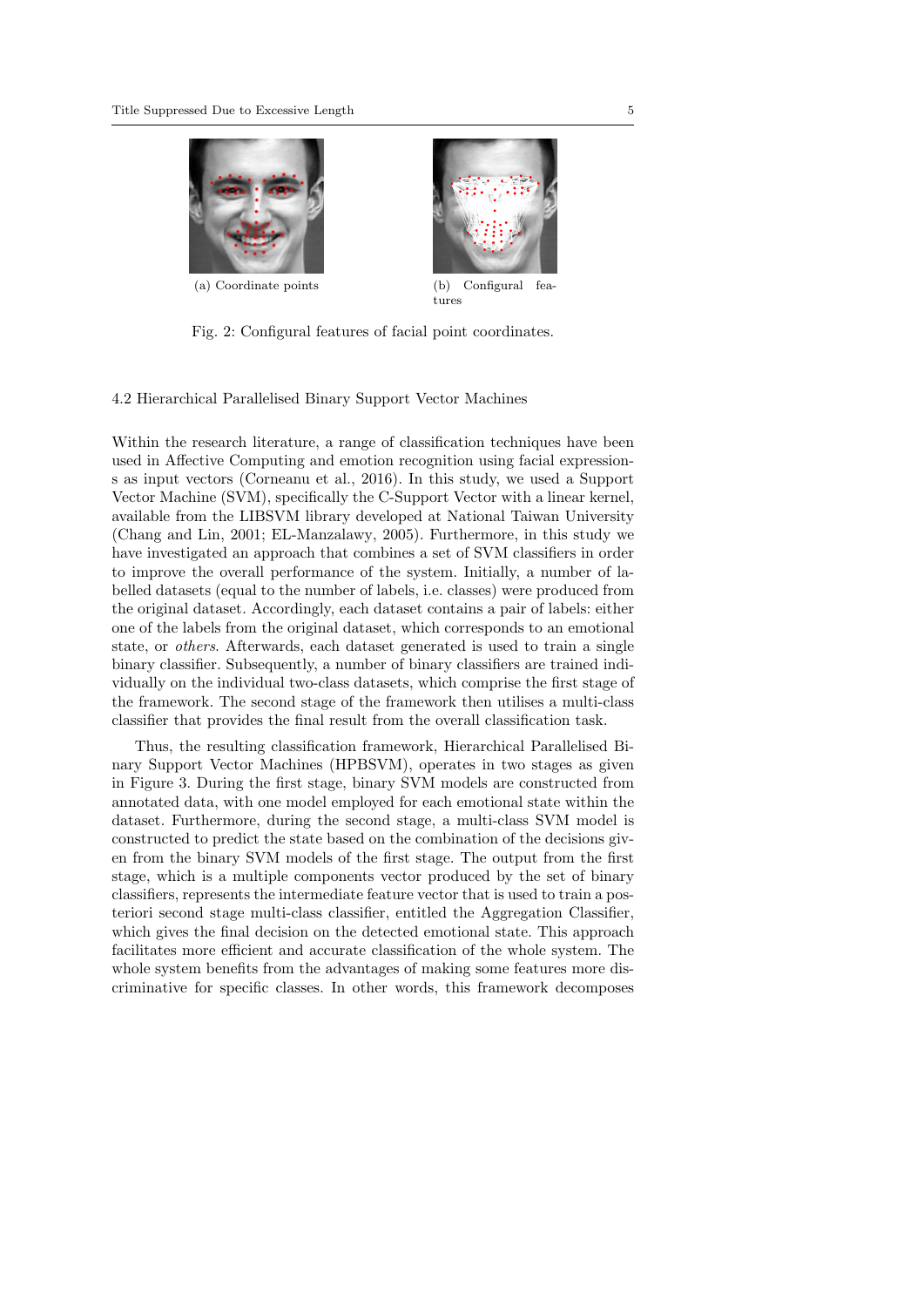



tures

Fig. 2: Configural features of facial point coordinates.

4.2 Hierarchical Parallelised Binary Support Vector Machines

Within the research literature, a range of classification techniques have been used in Affective Computing and emotion recognition using facial expressions as input vectors (Corneanu et al., 2016). In this study, we used a Support Vector Machine (SVM), specifically the C-Support Vector with a linear kernel, available from the LIBSVM library developed at National Taiwan University (Chang and Lin, 2001; EL-Manzalawy, 2005). Furthermore, in this study we have investigated an approach that combines a set of SVM classifiers in order to improve the overall performance of the system. Initially, a number of labelled datasets (equal to the number of labels, i.e. classes) were produced from the original dataset. Accordingly, each dataset contains a pair of labels: either one of the labels from the original dataset, which corresponds to an emotional state, or others. Afterwards, each dataset generated is used to train a single binary classifier. Subsequently, a number of binary classifiers are trained individually on the individual two-class datasets, which comprise the first stage of the framework. The second stage of the framework then utilises a multi-class classifier that provides the final result from the overall classification task.

Thus, the resulting classification framework, Hierarchical Parallelised Binary Support Vector Machines (HPBSVM), operates in two stages as given in Figure 3. During the first stage, binary SVM models are constructed from annotated data, with one model employed for each emotional state within the dataset. Furthermore, during the second stage, a multi-class SVM model is constructed to predict the state based on the combination of the decisions given from the binary SVM models of the first stage. The output from the first stage, which is a multiple components vector produced by the set of binary classifiers, represents the intermediate feature vector that is used to train a posteriori second stage multi-class classifier, entitled the Aggregation Classifier, which gives the final decision on the detected emotional state. This approach facilitates more efficient and accurate classification of the whole system. The whole system benefits from the advantages of making some features more discriminative for specific classes. In other words, this framework decomposes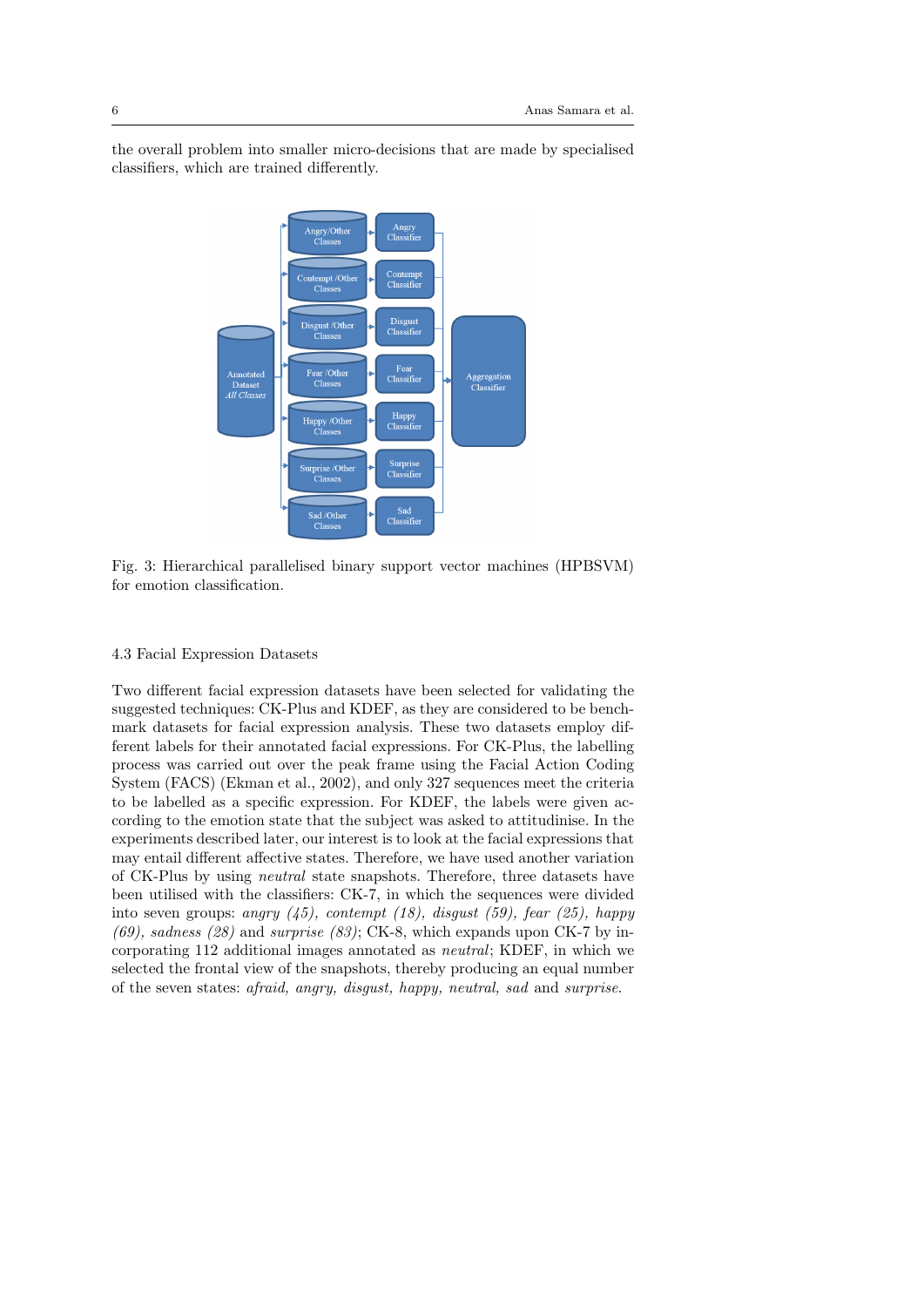the overall problem into smaller micro-decisions that are made by specialised classifiers, which are trained differently.



Fig. 3: Hierarchical parallelised binary support vector machines (HPBSVM) for emotion classification.

# 4.3 Facial Expression Datasets

Two different facial expression datasets have been selected for validating the suggested techniques: CK-Plus and KDEF, as they are considered to be benchmark datasets for facial expression analysis. These two datasets employ different labels for their annotated facial expressions. For CK-Plus, the labelling process was carried out over the peak frame using the Facial Action Coding System (FACS) (Ekman et al., 2002), and only 327 sequences meet the criteria to be labelled as a specific expression. For KDEF, the labels were given according to the emotion state that the subject was asked to attitudinise. In the experiments described later, our interest is to look at the facial expressions that may entail different affective states. Therefore, we have used another variation of CK-Plus by using neutral state snapshots. Therefore, three datasets have been utilised with the classifiers: CK-7, in which the sequences were divided into seven groups: angry  $(45)$ , contempt  $(18)$ , disgust  $(59)$ , fear  $(25)$ , happy  $(69)$ , sadness  $(28)$  and surprise  $(83)$ ; CK-8, which expands upon CK-7 by incorporating 112 additional images annotated as neutral; KDEF, in which we selected the frontal view of the snapshots, thereby producing an equal number of the seven states: afraid, angry, disgust, happy, neutral, sad and surprise.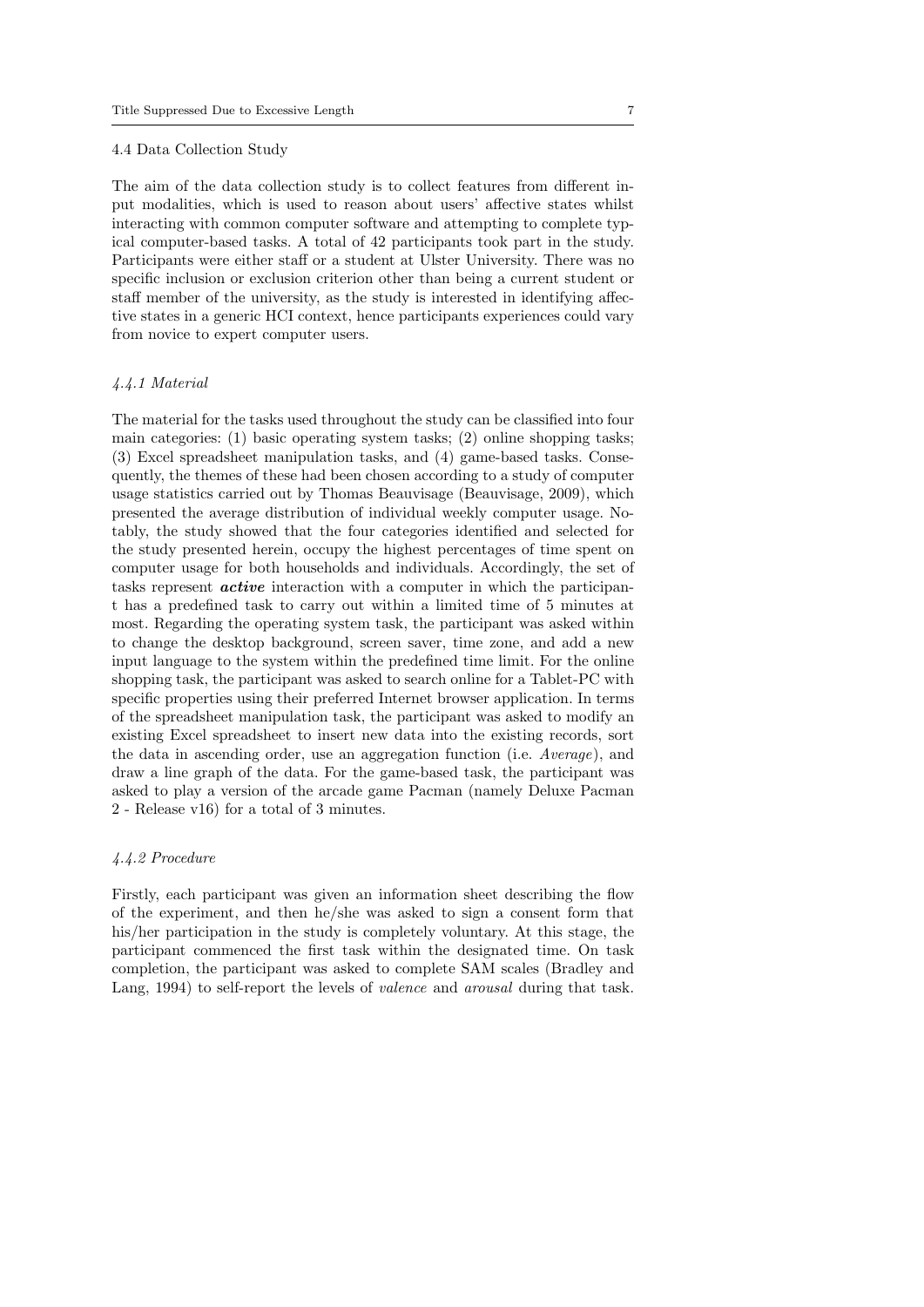#### 4.4 Data Collection Study

The aim of the data collection study is to collect features from different input modalities, which is used to reason about users' affective states whilst interacting with common computer software and attempting to complete typical computer-based tasks. A total of 42 participants took part in the study. Participants were either staff or a student at Ulster University. There was no specific inclusion or exclusion criterion other than being a current student or staff member of the university, as the study is interested in identifying affective states in a generic HCI context, hence participants experiences could vary from novice to expert computer users.

#### 4.4.1 Material

The material for the tasks used throughout the study can be classified into four main categories: (1) basic operating system tasks; (2) online shopping tasks; (3) Excel spreadsheet manipulation tasks, and (4) game-based tasks. Consequently, the themes of these had been chosen according to a study of computer usage statistics carried out by Thomas Beauvisage (Beauvisage, 2009), which presented the average distribution of individual weekly computer usage. Notably, the study showed that the four categories identified and selected for the study presented herein, occupy the highest percentages of time spent on computer usage for both households and individuals. Accordingly, the set of tasks represent active interaction with a computer in which the participant has a predefined task to carry out within a limited time of 5 minutes at most. Regarding the operating system task, the participant was asked within to change the desktop background, screen saver, time zone, and add a new input language to the system within the predefined time limit. For the online shopping task, the participant was asked to search online for a Tablet-PC with specific properties using their preferred Internet browser application. In terms of the spreadsheet manipulation task, the participant was asked to modify an existing Excel spreadsheet to insert new data into the existing records, sort the data in ascending order, use an aggregation function (i.e. Average), and draw a line graph of the data. For the game-based task, the participant was asked to play a version of the arcade game Pacman (namely Deluxe Pacman 2 - Release v16) for a total of 3 minutes.

#### 4.4.2 Procedure

Firstly, each participant was given an information sheet describing the flow of the experiment, and then he/she was asked to sign a consent form that his/her participation in the study is completely voluntary. At this stage, the participant commenced the first task within the designated time. On task completion, the participant was asked to complete SAM scales (Bradley and Lang, 1994) to self-report the levels of valence and arousal during that task.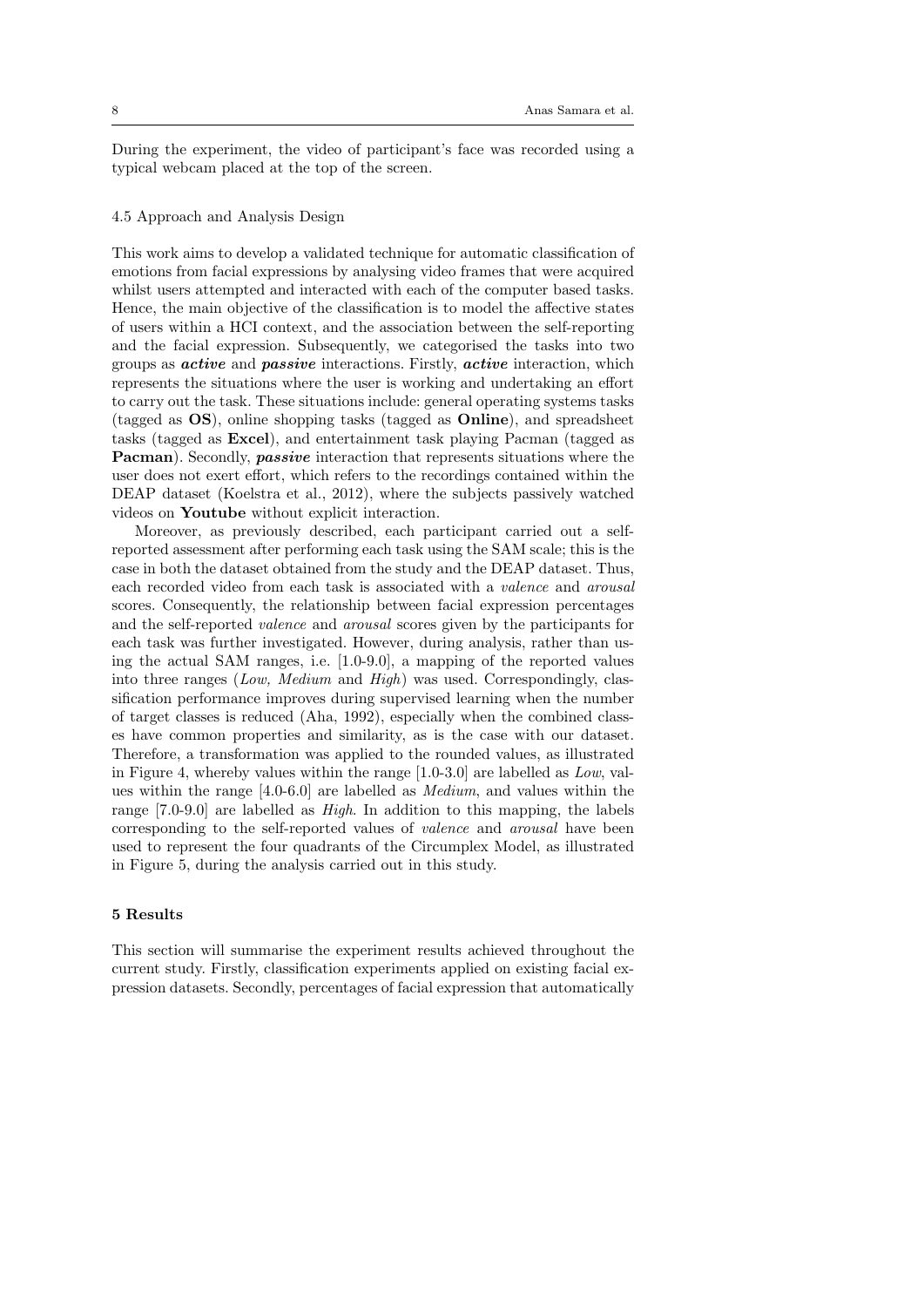During the experiment, the video of participant's face was recorded using a typical webcam placed at the top of the screen.

# 4.5 Approach and Analysis Design

This work aims to develop a validated technique for automatic classification of emotions from facial expressions by analysing video frames that were acquired whilst users attempted and interacted with each of the computer based tasks. Hence, the main objective of the classification is to model the affective states of users within a HCI context, and the association between the self-reporting and the facial expression. Subsequently, we categorised the tasks into two groups as active and passive interactions. Firstly, active interaction, which represents the situations where the user is working and undertaking an effort to carry out the task. These situations include: general operating systems tasks (tagged as OS), online shopping tasks (tagged as Online), and spreadsheet tasks (tagged as Excel), and entertainment task playing Pacman (tagged as **Pacman**). Secondly, **passive** interaction that represents situations where the user does not exert effort, which refers to the recordings contained within the DEAP dataset (Koelstra et al., 2012), where the subjects passively watched videos on Youtube without explicit interaction.

Moreover, as previously described, each participant carried out a selfreported assessment after performing each task using the SAM scale; this is the case in both the dataset obtained from the study and the DEAP dataset. Thus, each recorded video from each task is associated with a valence and arousal scores. Consequently, the relationship between facial expression percentages and the self-reported valence and arousal scores given by the participants for each task was further investigated. However, during analysis, rather than using the actual SAM ranges, i.e. [1.0-9.0], a mapping of the reported values into three ranges (Low, Medium and High) was used. Correspondingly, classification performance improves during supervised learning when the number of target classes is reduced (Aha, 1992), especially when the combined classes have common properties and similarity, as is the case with our dataset. Therefore, a transformation was applied to the rounded values, as illustrated in Figure 4, whereby values within the range [1.0-3.0] are labelled as Low, values within the range [4.0-6.0] are labelled as Medium, and values within the range [7.0-9.0] are labelled as High. In addition to this mapping, the labels corresponding to the self-reported values of valence and arousal have been used to represent the four quadrants of the Circumplex Model, as illustrated in Figure 5, during the analysis carried out in this study.

#### 5 Results

This section will summarise the experiment results achieved throughout the current study. Firstly, classification experiments applied on existing facial expression datasets. Secondly, percentages of facial expression that automatically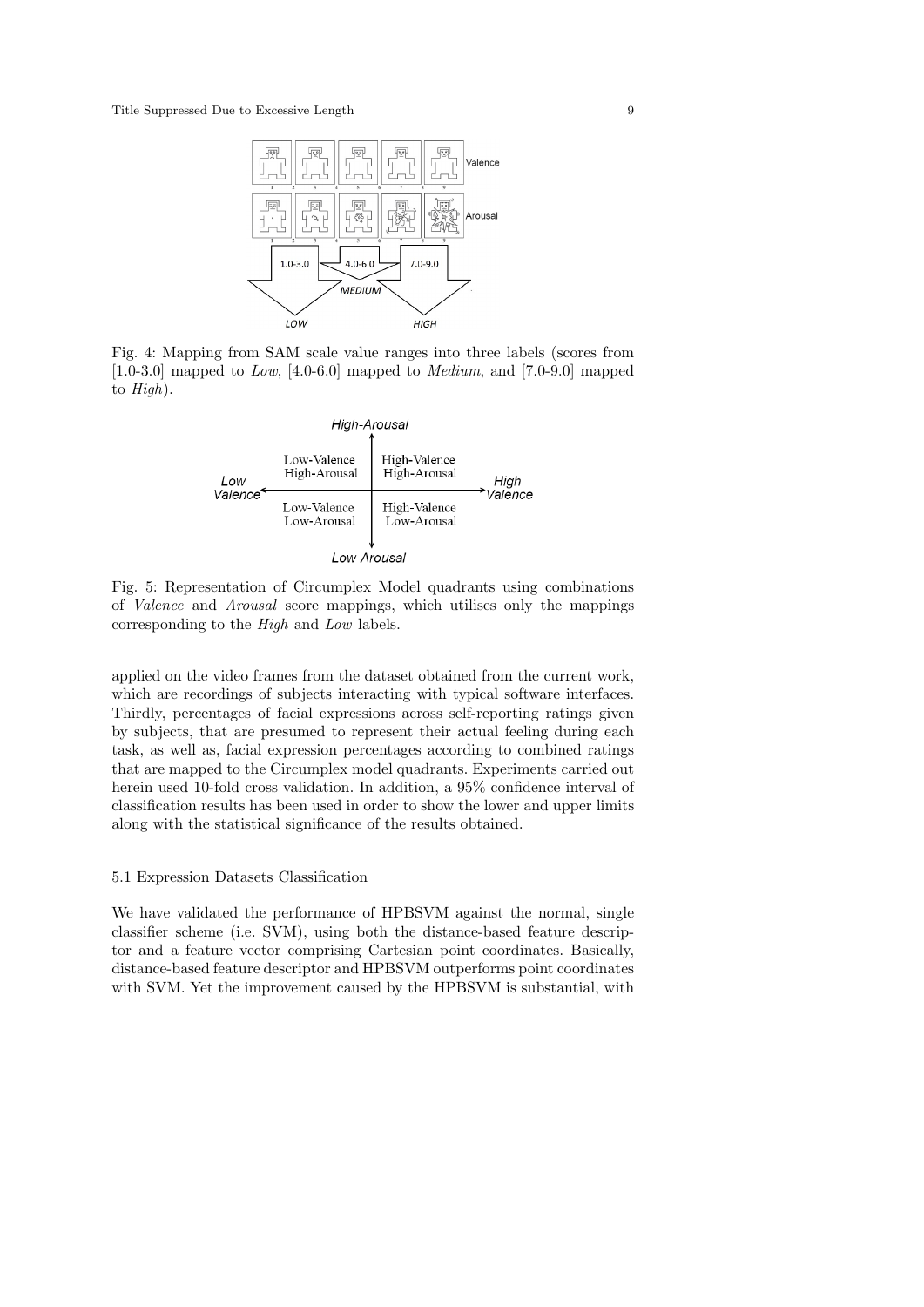

Fig. 4: Mapping from SAM scale value ranges into three labels (scores from  $[1.0-3.0]$  mapped to *Low*,  $[4.0-6.0]$  mapped to *Medium*, and  $[7.0-9.0]$  mapped to High).





applied on the video frames from the dataset obtained from the current work, which are recordings of subjects interacting with typical software interfaces. Thirdly, percentages of facial expressions across self-reporting ratings given by subjects, that are presumed to represent their actual feeling during each task, as well as, facial expression percentages according to combined ratings that are mapped to the Circumplex model quadrants. Experiments carried out herein used 10-fold cross validation. In addition, a 95% confidence interval of classification results has been used in order to show the lower and upper limits along with the statistical significance of the results obtained.

#### 5.1 Expression Datasets Classification

We have validated the performance of HPBSVM against the normal, single classifier scheme (i.e. SVM), using both the distance-based feature descriptor and a feature vector comprising Cartesian point coordinates. Basically, distance-based feature descriptor and HPBSVM outperforms point coordinates with SVM. Yet the improvement caused by the HPBSVM is substantial, with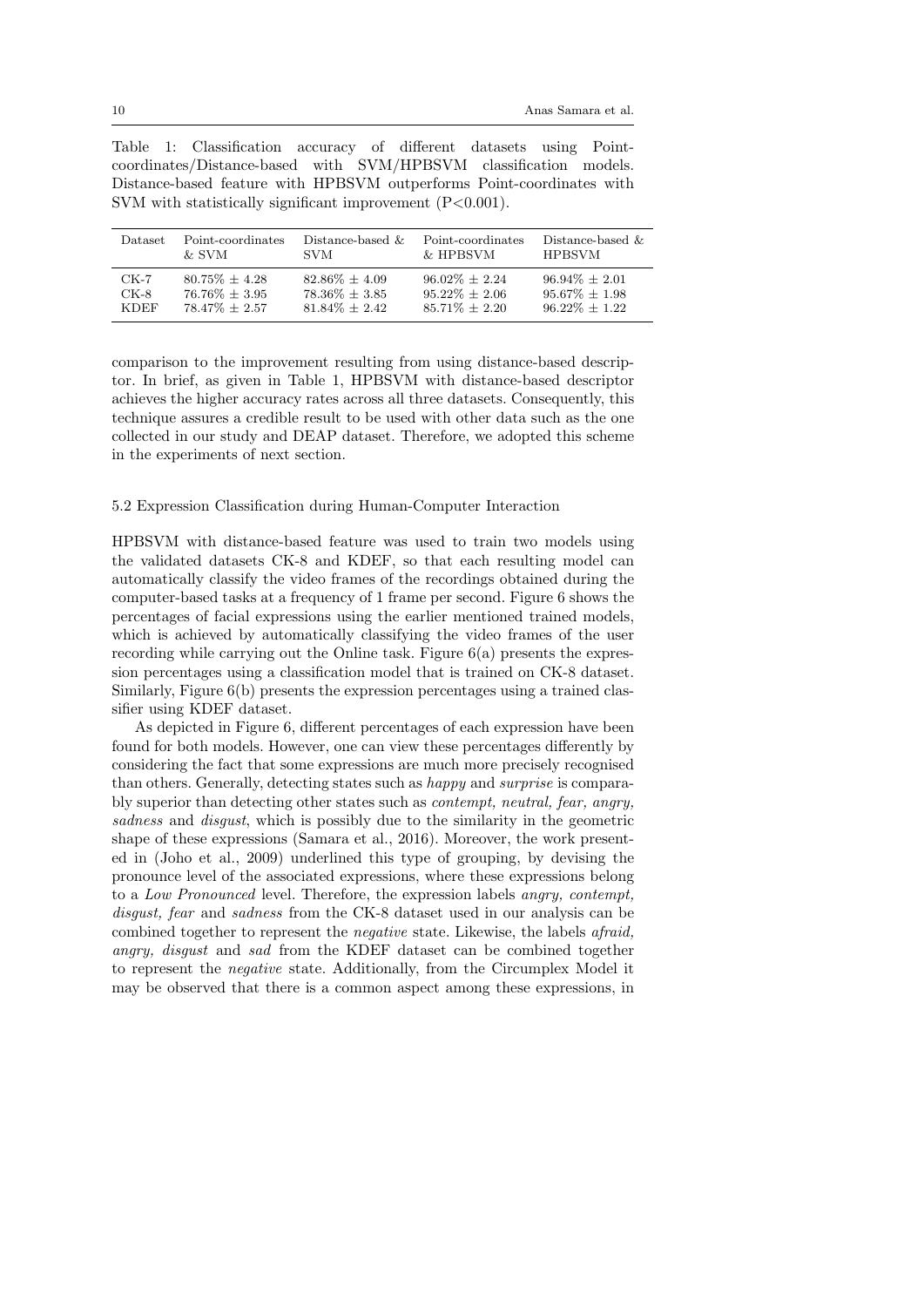|  | Table 1: Classification accuracy of different datasets using Point-   |  |  |  |
|--|-----------------------------------------------------------------------|--|--|--|
|  | coordinates/Distance-based with SVM/HPBSVM classification models.     |  |  |  |
|  | Distance-based feature with HPBSVM outperforms Point-coordinates with |  |  |  |
|  | SVM with statistically significant improvement $(P<0.001)$ .          |  |  |  |

| <b>Dataset</b> | Point-coordinates | Distance-based $\&$ | Point-coordinates | Distance-based $\&$ |
|----------------|-------------------|---------------------|-------------------|---------------------|
|                | & SVM             | <b>SVM</b>          | & HPBSVM          | <b>HPBSVM</b>       |
| $CK-7$         | $80.75\% + 4.28$  | $82.86\% + 4.09$    | $96.02\% + 2.24$  | $96.94\% \pm 2.01$  |
| $CK-8$         | $76.76\% + 3.95$  | $78.36\% + 3.85$    | $95.22\% + 2.06$  | $95.67\% \pm 1.98$  |
| <b>KDEF</b>    | $78.47\% + 2.57$  | $81.84\% + 2.42$    | $85.71\% + 2.20$  | $96.22\% + 1.22$    |

comparison to the improvement resulting from using distance-based descriptor. In brief, as given in Table 1, HPBSVM with distance-based descriptor achieves the higher accuracy rates across all three datasets. Consequently, this technique assures a credible result to be used with other data such as the one collected in our study and DEAP dataset. Therefore, we adopted this scheme in the experiments of next section.

#### 5.2 Expression Classification during Human-Computer Interaction

HPBSVM with distance-based feature was used to train two models using the validated datasets CK-8 and KDEF, so that each resulting model can automatically classify the video frames of the recordings obtained during the computer-based tasks at a frequency of 1 frame per second. Figure 6 shows the percentages of facial expressions using the earlier mentioned trained models, which is achieved by automatically classifying the video frames of the user recording while carrying out the Online task. Figure 6(a) presents the expression percentages using a classification model that is trained on CK-8 dataset. Similarly, Figure 6(b) presents the expression percentages using a trained classifier using KDEF dataset.

As depicted in Figure 6, different percentages of each expression have been found for both models. However, one can view these percentages differently by considering the fact that some expressions are much more precisely recognised than others. Generally, detecting states such as happy and surprise is comparably superior than detecting other states such as contempt, neutral, fear, angry, sadness and *disgust*, which is possibly due to the similarity in the geometric shape of these expressions (Samara et al., 2016). Moreover, the work presented in (Joho et al., 2009) underlined this type of grouping, by devising the pronounce level of the associated expressions, where these expressions belong to a Low Pronounced level. Therefore, the expression labels angry, contempt, disgust, fear and sadness from the CK-8 dataset used in our analysis can be combined together to represent the negative state. Likewise, the labels afraid, angry, disgust and sad from the KDEF dataset can be combined together to represent the negative state. Additionally, from the Circumplex Model it may be observed that there is a common aspect among these expressions, in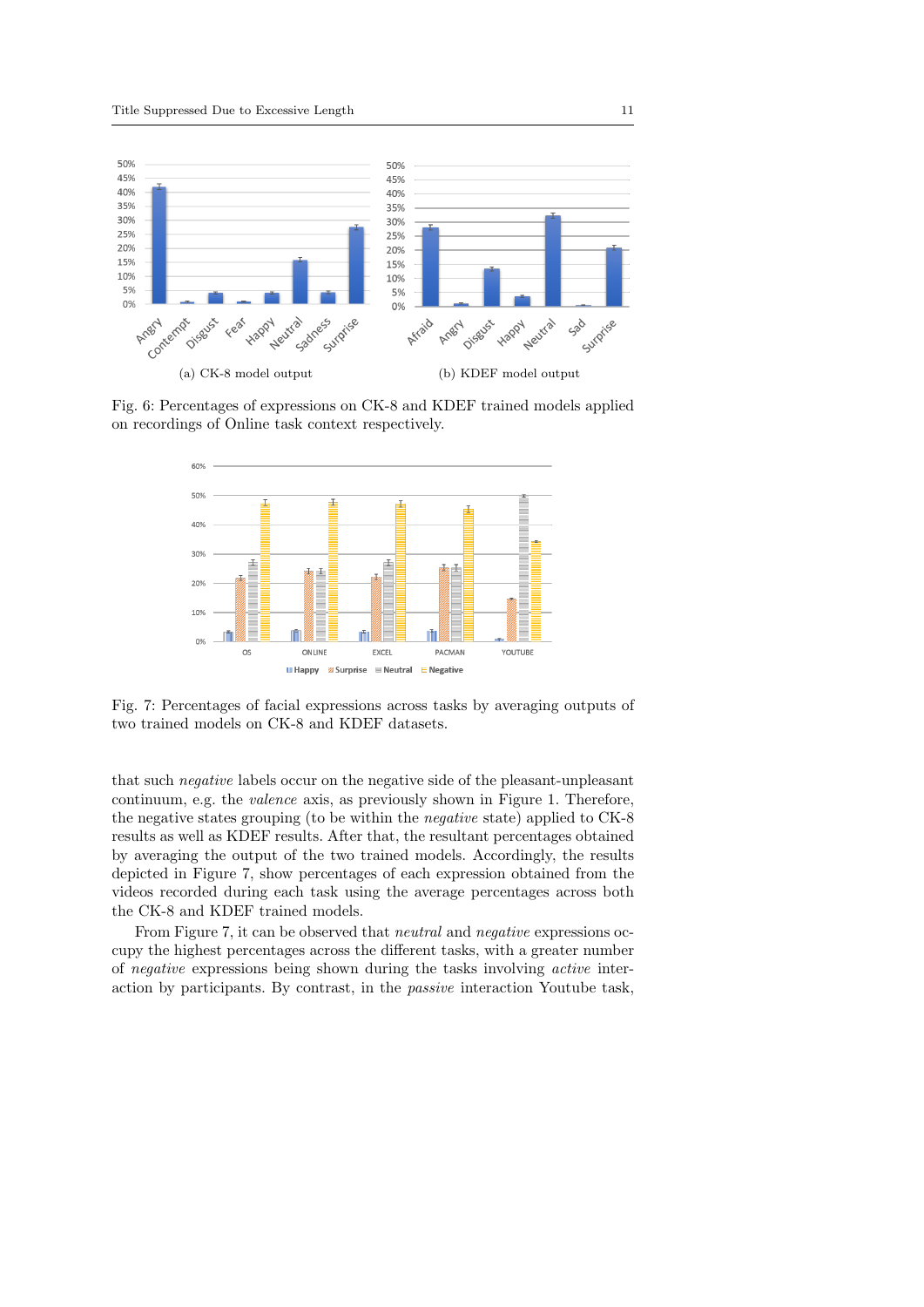

Fig. 6: Percentages of expressions on CK-8 and KDEF trained models applied on recordings of Online task context respectively.



Fig. 7: Percentages of facial expressions across tasks by averaging outputs of two trained models on CK-8 and KDEF datasets.

that such negative labels occur on the negative side of the pleasant-unpleasant continuum, e.g. the valence axis, as previously shown in Figure 1. Therefore, the negative states grouping (to be within the negative state) applied to CK-8 results as well as KDEF results. After that, the resultant percentages obtained by averaging the output of the two trained models. Accordingly, the results depicted in Figure 7, show percentages of each expression obtained from the videos recorded during each task using the average percentages across both the CK-8 and KDEF trained models.

From Figure 7, it can be observed that *neutral* and *negative* expressions occupy the highest percentages across the different tasks, with a greater number of negative expressions being shown during the tasks involving active interaction by participants. By contrast, in the passive interaction Youtube task,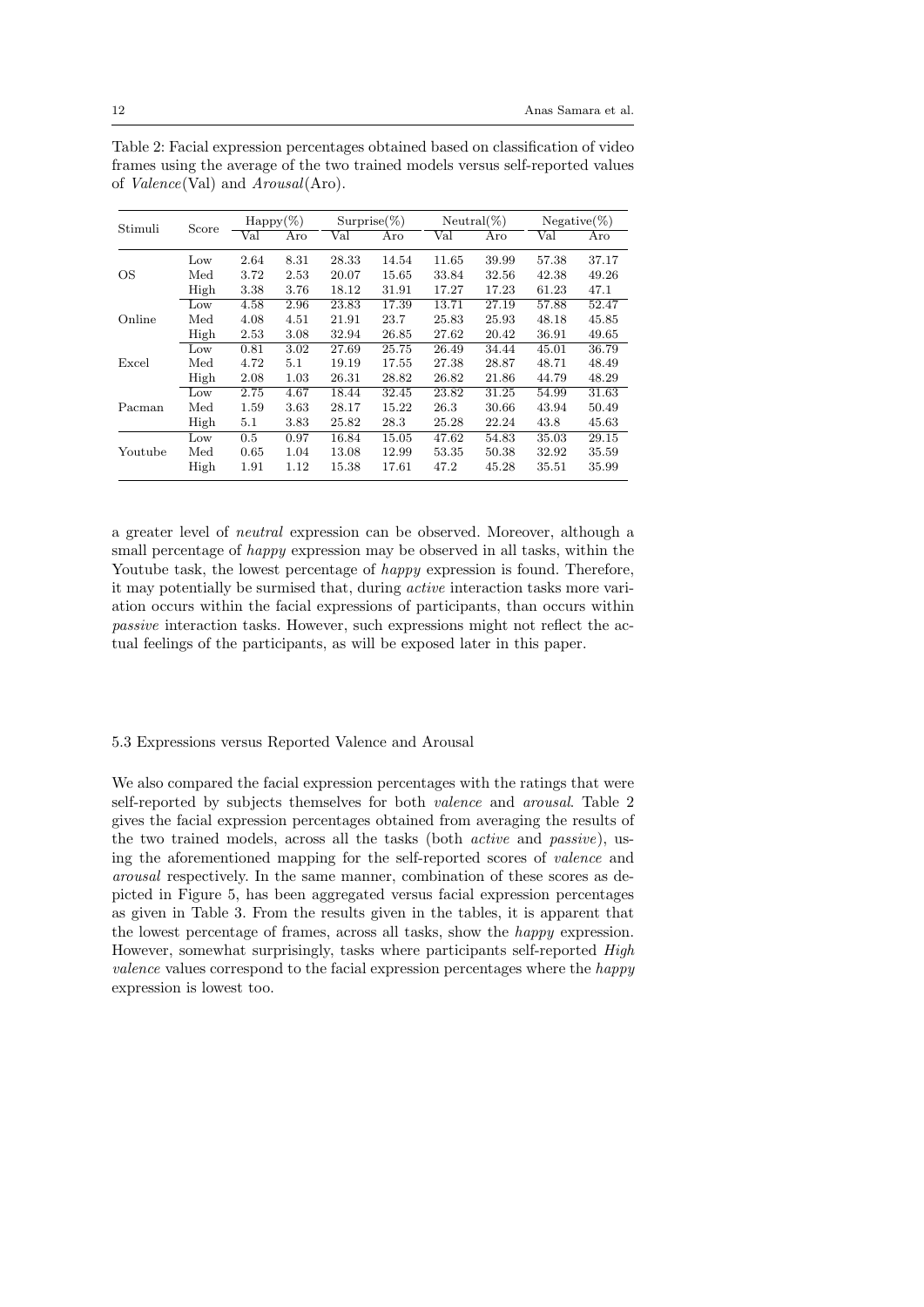| Stimuli | Score | $\text{Happy}(\%)$ |      | $Surprise (\%)$ |       | $Neutral(\%)$ |       | $Negative(\%)$ |       |
|---------|-------|--------------------|------|-----------------|-------|---------------|-------|----------------|-------|
|         |       | Val                | Aro  | Val             | Aro   | Val           | Aro   | Val            | Aro   |
| OS      | Low   | 2.64               | 8.31 | 28.33           | 14.54 | 11.65         | 39.99 | 57.38          | 37.17 |
|         | Med   | 3.72               | 2.53 | 20.07           | 15.65 | 33.84         | 32.56 | 42.38          | 49.26 |
|         | High  | 3.38               | 3.76 | 18.12           | 31.91 | 17.27         | 17.23 | 61.23          | 47.1  |
| Online  | Low   | 4.58               | 2.96 | 23.83           | 17.39 | 13.71         | 27.19 | 57.88          | 52.47 |
|         | Med   | 4.08               | 4.51 | 21.91           | 23.7  | 25.83         | 25.93 | 48.18          | 45.85 |
|         | High  | $2.53\,$           | 3.08 | 32.94           | 26.85 | 27.62         | 20.42 | 36.91          | 49.65 |
| Excel   | Low   | 0.81               | 3.02 | 27.69           | 25.75 | 26.49         | 34.44 | 45.01          | 36.79 |
|         | Med   | 4.72               | 5.1  | 19.19           | 17.55 | 27.38         | 28.87 | 48.71          | 48.49 |
|         | High  | 2.08               | 1.03 | 26.31           | 28.82 | 26.82         | 21.86 | 44.79          | 48.29 |
| Pacman  | Low   | 2.75               | 4.67 | 18.44           | 32.45 | 23.82         | 31.25 | 54.99          | 31.63 |
|         | Med   | 1.59               | 3.63 | 28.17           | 15.22 | 26.3          | 30.66 | 43.94          | 50.49 |
|         | High  | $5.1\,$            | 3.83 | 25.82           | 28.3  | 25.28         | 22.24 | 43.8           | 45.63 |
|         | Low   | 0.5                | 0.97 | 16.84           | 15.05 | 47.62         | 54.83 | 35.03          | 29.15 |
| Youtube | Med   | 0.65               | 1.04 | 13.08           | 12.99 | 53.35         | 50.38 | 32.92          | 35.59 |
|         | High  | 1.91               | 1.12 | 15.38           | 17.61 | 47.2          | 45.28 | 35.51          | 35.99 |

Table 2: Facial expression percentages obtained based on classification of video frames using the average of the two trained models versus self-reported values of Valence(Val) and Arousal(Aro).

a greater level of neutral expression can be observed. Moreover, although a small percentage of happy expression may be observed in all tasks, within the Youtube task, the lowest percentage of *happy* expression is found. Therefore, it may potentially be surmised that, during active interaction tasks more variation occurs within the facial expressions of participants, than occurs within passive interaction tasks. However, such expressions might not reflect the actual feelings of the participants, as will be exposed later in this paper.

# 5.3 Expressions versus Reported Valence and Arousal

We also compared the facial expression percentages with the ratings that were self-reported by subjects themselves for both valence and arousal. Table 2 gives the facial expression percentages obtained from averaging the results of the two trained models, across all the tasks (both active and passive), using the aforementioned mapping for the self-reported scores of valence and arousal respectively. In the same manner, combination of these scores as depicted in Figure 5, has been aggregated versus facial expression percentages as given in Table 3. From the results given in the tables, it is apparent that the lowest percentage of frames, across all tasks, show the happy expression. However, somewhat surprisingly, tasks where participants self-reported High valence values correspond to the facial expression percentages where the happy expression is lowest too.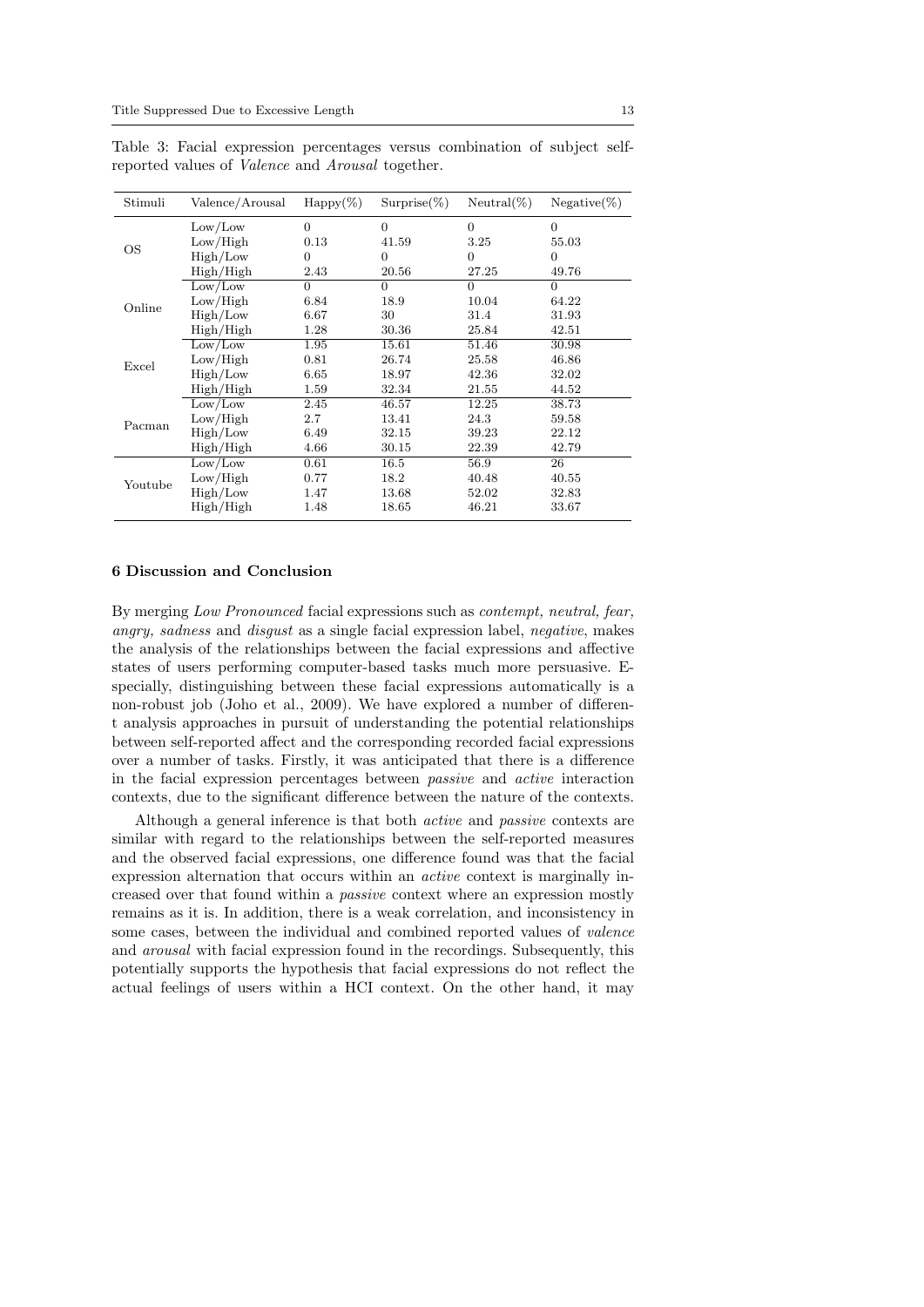| Stimuli | Valence/Arousal | $\text{Happy}(\%)$ | $Surprise(\%)$ | $Neutral(\%)$ | $Negative(\%)$ |
|---------|-----------------|--------------------|----------------|---------------|----------------|
|         | Low/Low         | $\Omega$           | $\Omega$       | $\Omega$      | $\Omega$       |
| OS      | Low/High        | 0.13               | 41.59          | 3.25          | 55.03          |
|         | High/Low        | 0                  | $\Omega$       | $\Omega$      | $\theta$       |
|         | High/High       | 2.43               | 20.56          | 27.25         | 49.76          |
|         | Low/Low         | $\Omega$           | $\Omega$       | $\Omega$      | $\Omega$       |
| Online  | Low/High        | 6.84               | 18.9           | 10.04         | 64.22          |
|         | High/Low        | 6.67               | 30             | 31.4          | 31.93          |
|         | High/High       | 1.28               | 30.36          | 25.84         | 42.51          |
|         | Low/Low         | 1.95               | 15.61          | 51.46         | 30.98          |
| Excel   | Low/High        | 0.81               | 26.74          | 25.58         | 46.86          |
|         | High/Low        | 6.65               | 18.97          | 42.36         | 32.02          |
|         | High/High       | 1.59               | 32.34          | 21.55         | 44.52          |
|         | Low/Low         | 2.45               | 46.57          | 12.25         | 38.73          |
| Pacman  | Low/High        | 2.7                | 13.41          | 24.3          | 59.58          |
|         | High/Low        | 6.49               | 32.15          | 39.23         | 22.12          |
|         | High/High       | 4.66               | 30.15          | 22.39         | 42.79          |
|         | Low/Low         | 0.61               | 16.5           | 56.9          | 26             |
| Youtube | Low/High        | 0.77               | 18.2           | 40.48         | 40.55          |
|         | High/Low        | 1.47               | 13.68          | 52.02         | 32.83          |
|         | High/High       | 1.48               | 18.65          | 46.21         | 33.67          |

Table 3: Facial expression percentages versus combination of subject selfreported values of Valence and Arousal together.

#### 6 Discussion and Conclusion

By merging Low Pronounced facial expressions such as contempt, neutral, fear, angry, sadness and disgust as a single facial expression label, negative, makes the analysis of the relationships between the facial expressions and affective states of users performing computer-based tasks much more persuasive. Especially, distinguishing between these facial expressions automatically is a non-robust job (Joho et al., 2009). We have explored a number of different analysis approaches in pursuit of understanding the potential relationships between self-reported affect and the corresponding recorded facial expressions over a number of tasks. Firstly, it was anticipated that there is a difference in the facial expression percentages between passive and active interaction contexts, due to the significant difference between the nature of the contexts.

Although a general inference is that both active and passive contexts are similar with regard to the relationships between the self-reported measures and the observed facial expressions, one difference found was that the facial expression alternation that occurs within an active context is marginally increased over that found within a passive context where an expression mostly remains as it is. In addition, there is a weak correlation, and inconsistency in some cases, between the individual and combined reported values of valence and arousal with facial expression found in the recordings. Subsequently, this potentially supports the hypothesis that facial expressions do not reflect the actual feelings of users within a HCI context. On the other hand, it may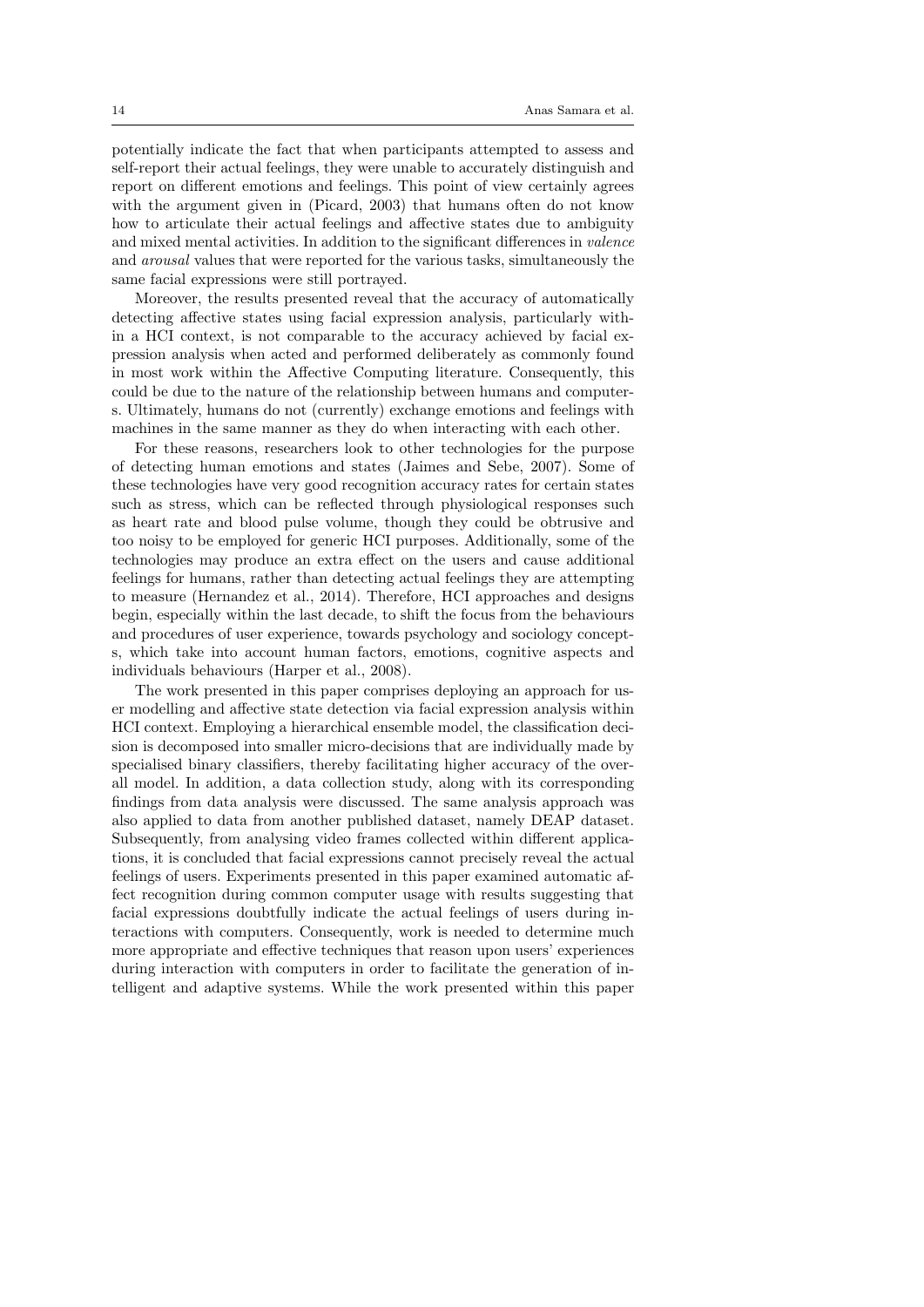potentially indicate the fact that when participants attempted to assess and self-report their actual feelings, they were unable to accurately distinguish and report on different emotions and feelings. This point of view certainly agrees with the argument given in (Picard, 2003) that humans often do not know how to articulate their actual feelings and affective states due to ambiguity and mixed mental activities. In addition to the significant differences in valence and arousal values that were reported for the various tasks, simultaneously the same facial expressions were still portrayed.

Moreover, the results presented reveal that the accuracy of automatically detecting affective states using facial expression analysis, particularly within a HCI context, is not comparable to the accuracy achieved by facial expression analysis when acted and performed deliberately as commonly found in most work within the Affective Computing literature. Consequently, this could be due to the nature of the relationship between humans and computers. Ultimately, humans do not (currently) exchange emotions and feelings with machines in the same manner as they do when interacting with each other.

For these reasons, researchers look to other technologies for the purpose of detecting human emotions and states (Jaimes and Sebe, 2007). Some of these technologies have very good recognition accuracy rates for certain states such as stress, which can be reflected through physiological responses such as heart rate and blood pulse volume, though they could be obtrusive and too noisy to be employed for generic HCI purposes. Additionally, some of the technologies may produce an extra effect on the users and cause additional feelings for humans, rather than detecting actual feelings they are attempting to measure (Hernandez et al., 2014). Therefore, HCI approaches and designs begin, especially within the last decade, to shift the focus from the behaviours and procedures of user experience, towards psychology and sociology concepts, which take into account human factors, emotions, cognitive aspects and individuals behaviours (Harper et al., 2008).

The work presented in this paper comprises deploying an approach for user modelling and affective state detection via facial expression analysis within HCI context. Employing a hierarchical ensemble model, the classification decision is decomposed into smaller micro-decisions that are individually made by specialised binary classifiers, thereby facilitating higher accuracy of the overall model. In addition, a data collection study, along with its corresponding findings from data analysis were discussed. The same analysis approach was also applied to data from another published dataset, namely DEAP dataset. Subsequently, from analysing video frames collected within different applications, it is concluded that facial expressions cannot precisely reveal the actual feelings of users. Experiments presented in this paper examined automatic affect recognition during common computer usage with results suggesting that facial expressions doubtfully indicate the actual feelings of users during interactions with computers. Consequently, work is needed to determine much more appropriate and effective techniques that reason upon users' experiences during interaction with computers in order to facilitate the generation of intelligent and adaptive systems. While the work presented within this paper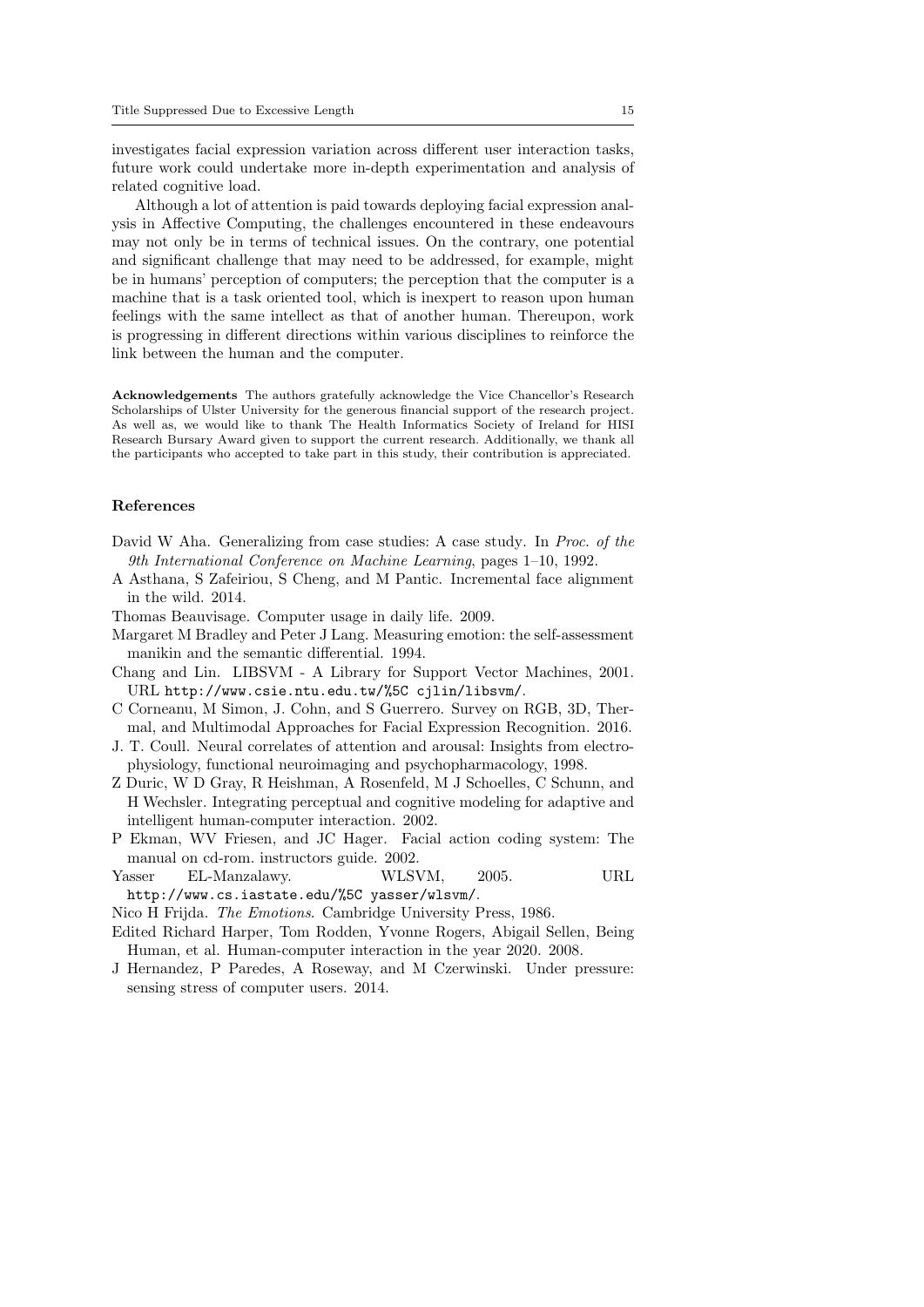investigates facial expression variation across different user interaction tasks, future work could undertake more in-depth experimentation and analysis of related cognitive load.

Although a lot of attention is paid towards deploying facial expression analysis in Affective Computing, the challenges encountered in these endeavours may not only be in terms of technical issues. On the contrary, one potential and significant challenge that may need to be addressed, for example, might be in humans' perception of computers; the perception that the computer is a machine that is a task oriented tool, which is inexpert to reason upon human feelings with the same intellect as that of another human. Thereupon, work is progressing in different directions within various disciplines to reinforce the link between the human and the computer.

Acknowledgements The authors gratefully acknowledge the Vice Chancellor's Research Scholarships of Ulster University for the generous financial support of the research project. As well as, we would like to thank The Health Informatics Society of Ireland for HISI Research Bursary Award given to support the current research. Additionally, we thank all the participants who accepted to take part in this study, their contribution is appreciated.

#### References

- David W Aha. Generalizing from case studies: A case study. In *Proc. of the* 9th International Conference on Machine Learning, pages 1–10, 1992.
- A Asthana, S Zafeiriou, S Cheng, and M Pantic. Incremental face alignment in the wild. 2014.
- Thomas Beauvisage. Computer usage in daily life. 2009.
- Margaret M Bradley and Peter J Lang. Measuring emotion: the self-assessment manikin and the semantic differential. 1994.
- Chang and Lin. LIBSVM A Library for Support Vector Machines, 2001. URL http://www.csie.ntu.edu.tw/%5C cjlin/libsvm/.
- C Corneanu, M Simon, J. Cohn, and S Guerrero. Survey on RGB, 3D, Thermal, and Multimodal Approaches for Facial Expression Recognition. 2016.
- J. T. Coull. Neural correlates of attention and arousal: Insights from electrophysiology, functional neuroimaging and psychopharmacology, 1998.
- Z Duric, W D Gray, R Heishman, A Rosenfeld, M J Schoelles, C Schunn, and H Wechsler. Integrating perceptual and cognitive modeling for adaptive and intelligent human-computer interaction. 2002.
- P Ekman, WV Friesen, and JC Hager. Facial action coding system: The manual on cd-rom. instructors guide. 2002.
- Yasser EL-Manzalawy. WLSVM, 2005. URL http://www.cs.iastate.edu/%5C yasser/wlsvm/.
- Nico H Frijda. The Emotions. Cambridge University Press, 1986.
- Edited Richard Harper, Tom Rodden, Yvonne Rogers, Abigail Sellen, Being Human, et al. Human-computer interaction in the year 2020. 2008.
- J Hernandez, P Paredes, A Roseway, and M Czerwinski. Under pressure: sensing stress of computer users. 2014.